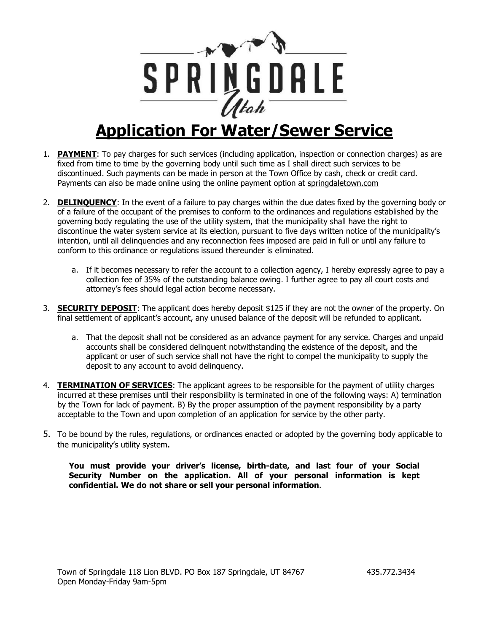

## **Application For Water/Sewer Service**

- 1. **PAYMENT**: To pay charges for such services (including application, inspection or connection charges) as are fixed from time to time by the governing body until such time as I shall direct such services to be discontinued. Such payments can be made in person at the Town Office by cash, check or credit card. Payments can also be made online using the online payment option at springdaletown.com
- 2. **DELINQUENCY**: In the event of a failure to pay charges within the due dates fixed by the governing body or of a failure of the occupant of the premises to conform to the ordinances and regulations established by the governing body regulating the use of the utility system, that the municipality shall have the right to discontinue the water system service at its election, pursuant to five days written notice of the municipality's intention, until all delinquencies and any reconnection fees imposed are paid in full or until any failure to conform to this ordinance or regulations issued thereunder is eliminated.
	- a. If it becomes necessary to refer the account to a collection agency, I hereby expressly agree to pay a collection fee of 35% of the outstanding balance owing. I further agree to pay all court costs and attorney's fees should legal action become necessary.
- 3. **SECURITY DEPOSIT**: The applicant does hereby deposit \$125 if they are not the owner of the property. On final settlement of applicant's account, any unused balance of the deposit will be refunded to applicant.
	- a. That the deposit shall not be considered as an advance payment for any service. Charges and unpaid accounts shall be considered delinquent notwithstanding the existence of the deposit, and the applicant or user of such service shall not have the right to compel the municipality to supply the deposit to any account to avoid delinquency.
- 4. **TERMINATION OF SERVICES**: The applicant agrees to be responsible for the payment of utility charges incurred at these premises until their responsibility is terminated in one of the following ways: A) termination by the Town for lack of payment. B) By the proper assumption of the payment responsibility by a party acceptable to the Town and upon completion of an application for service by the other party.
- 5. To be bound by the rules, regulations, or ordinances enacted or adopted by the governing body applicable to the municipality's utility system.

**You must provide your driver's license, birth-date, and last four of your Social Security Number on the application. All of your personal information is kept confidential. We do not share or sell your personal information**.